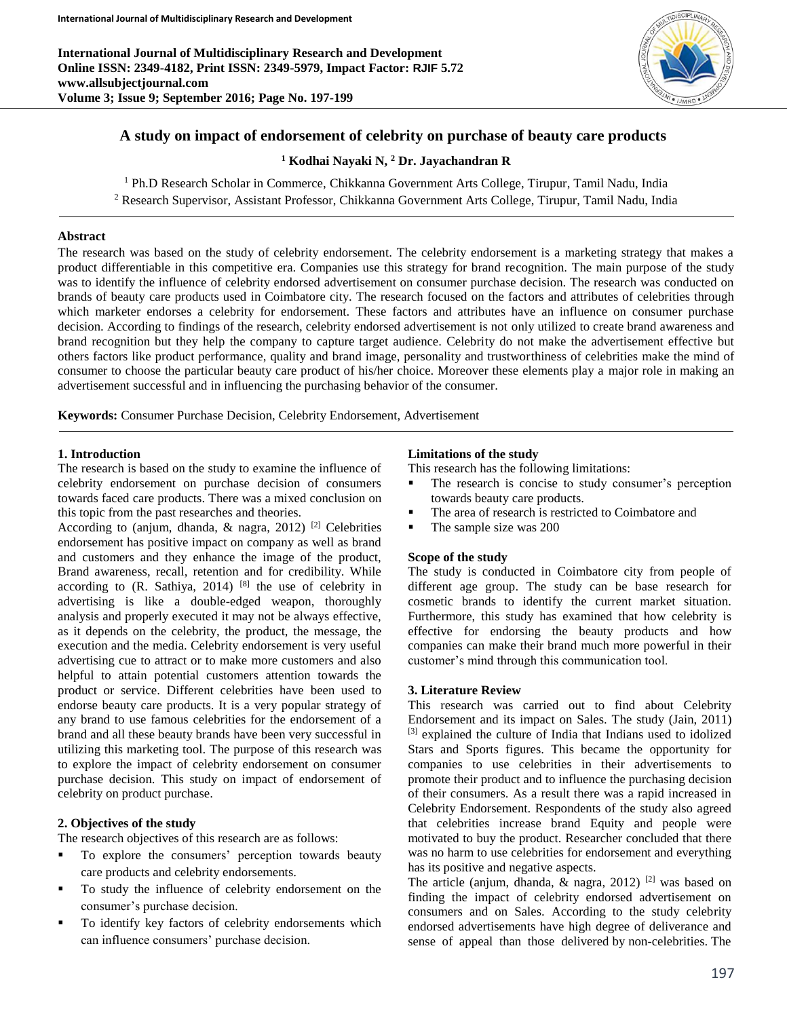**International Journal of Multidisciplinary Research and Development Online ISSN: 2349-4182, Print ISSN: 2349-5979, Impact Factor: RJIF 5.72 www.allsubjectjournal.com Volume 3; Issue 9; September 2016; Page No. 197-199**



# **A study on impact of endorsement of celebrity on purchase of beauty care products**

**<sup>1</sup> Kodhai Nayaki N, <sup>2</sup> Dr. Jayachandran R**

<sup>1</sup> Ph.D Research Scholar in Commerce, Chikkanna Government Arts College, Tirupur, Tamil Nadu, India

<sup>2</sup> Research Supervisor, Assistant Professor, Chikkanna Government Arts College, Tirupur, Tamil Nadu, India

### **Abstract**

The research was based on the study of celebrity endorsement. The celebrity endorsement is a marketing strategy that makes a product differentiable in this competitive era. Companies use this strategy for brand recognition. The main purpose of the study was to identify the influence of celebrity endorsed advertisement on consumer purchase decision. The research was conducted on brands of beauty care products used in Coimbatore city. The research focused on the factors and attributes of celebrities through which marketer endorses a celebrity for endorsement. These factors and attributes have an influence on consumer purchase decision. According to findings of the research, celebrity endorsed advertisement is not only utilized to create brand awareness and brand recognition but they help the company to capture target audience. Celebrity do not make the advertisement effective but others factors like product performance, quality and brand image, personality and trustworthiness of celebrities make the mind of consumer to choose the particular beauty care product of his/her choice. Moreover these elements play a major role in making an advertisement successful and in influencing the purchasing behavior of the consumer.

**Keywords:** Consumer Purchase Decision, Celebrity Endorsement, Advertisement

#### **1. Introduction**

The research is based on the study to examine the influence of celebrity endorsement on purchase decision of consumers towards faced care products. There was a mixed conclusion on this topic from the past researches and theories.

According to (anjum, dhanda,  $\&$  nagra, 2012) <sup>[2]</sup> Celebrities endorsement has positive impact on company as well as brand and customers and they enhance the image of the product, Brand awareness, recall, retention and for credibility. While according to  $(R. Sathiya, 2014)$  [8] the use of celebrity in advertising is like a double-edged weapon, thoroughly analysis and properly executed it may not be always effective, as it depends on the celebrity, the product, the message, the execution and the media. Celebrity endorsement is very useful advertising cue to attract or to make more customers and also helpful to attain potential customers attention towards the product or service. Different celebrities have been used to endorse beauty care products. It is a very popular strategy of any brand to use famous celebrities for the endorsement of a brand and all these beauty brands have been very successful in utilizing this marketing tool. The purpose of this research was to explore the impact of celebrity endorsement on consumer purchase decision. This study on impact of endorsement of celebrity on product purchase.

### **2. Objectives of the study**

The research objectives of this research are as follows:

- To explore the consumers' perception towards beauty care products and celebrity endorsements.
- To study the influence of celebrity endorsement on the consumer's purchase decision.
- To identify key factors of celebrity endorsements which can influence consumers' purchase decision.

#### **Limitations of the study**

This research has the following limitations:

- The research is concise to study consumer's perception towards beauty care products.
- The area of research is restricted to Coimbatore and
- The sample size was 200

### **Scope of the study**

The study is conducted in Coimbatore city from people of different age group. The study can be base research for cosmetic brands to identify the current market situation. Furthermore, this study has examined that how celebrity is effective for endorsing the beauty products and how companies can make their brand much more powerful in their customer's mind through this communication tool.

#### **3. Literature Review**

This research was carried out to find about Celebrity Endorsement and its impact on Sales. The study (Jain, 2011) [3] explained the culture of India that Indians used to idolized Stars and Sports figures. This became the opportunity for companies to use celebrities in their advertisements to promote their product and to influence the purchasing decision of their consumers. As a result there was a rapid increased in Celebrity Endorsement. Respondents of the study also agreed that celebrities increase brand Equity and people were motivated to buy the product. Researcher concluded that there was no harm to use celebrities for endorsement and everything has its positive and negative aspects.

The article (anjum, dhanda,  $\&$  nagra, 2012)<sup>[2]</sup> was based on finding the impact of celebrity endorsed advertisement on consumers and on Sales. According to the study celebrity endorsed advertisements have high degree of deliverance and sense of appeal than those delivered by non-celebrities. The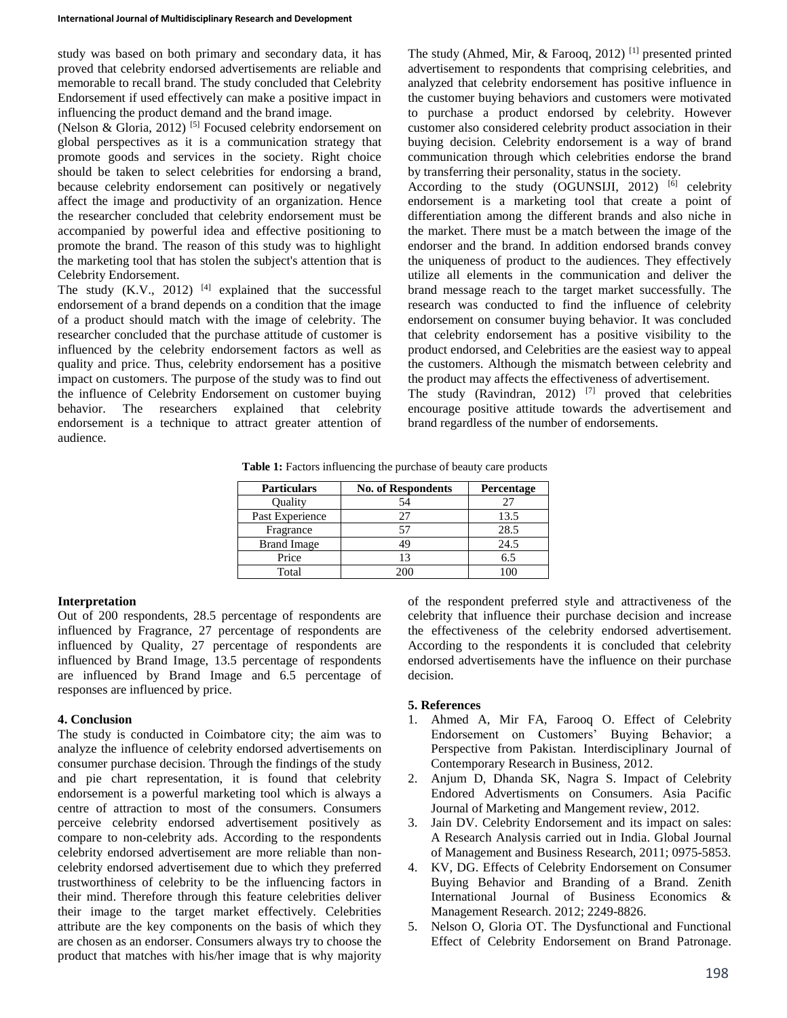study was based on both primary and secondary data, it has proved that celebrity endorsed advertisements are reliable and memorable to recall brand. The study concluded that Celebrity Endorsement if used effectively can make a positive impact in influencing the product demand and the brand image.

(Nelson & Gloria, 2012)<sup>[5]</sup> Focused celebrity endorsement on global perspectives as it is a communication strategy that promote goods and services in the society. Right choice should be taken to select celebrities for endorsing a brand, because celebrity endorsement can positively or negatively affect the image and productivity of an organization. Hence the researcher concluded that celebrity endorsement must be accompanied by powerful idea and effective positioning to promote the brand. The reason of this study was to highlight the marketing tool that has stolen the subject's attention that is Celebrity Endorsement.

The study  $(K.V., 2012)$  <sup>[4]</sup> explained that the successful endorsement of a brand depends on a condition that the image of a product should match with the image of celebrity. The researcher concluded that the purchase attitude of customer is influenced by the celebrity endorsement factors as well as quality and price. Thus, celebrity endorsement has a positive impact on customers. The purpose of the study was to find out the influence of Celebrity Endorsement on customer buying behavior. The researchers explained that celebrity endorsement is a technique to attract greater attention of audience.

The study (Ahmed, Mir, & Farooq, 2012) [1] presented printed advertisement to respondents that comprising celebrities, and analyzed that celebrity endorsement has positive influence in the customer buying behaviors and customers were motivated to purchase a product endorsed by celebrity. However customer also considered celebrity product association in their buying decision. Celebrity endorsement is a way of brand communication through which celebrities endorse the brand by transferring their personality, status in the society.

According to the study (OGUNSIJI, 2012)<sup>[6]</sup> celebrity endorsement is a marketing tool that create a point of differentiation among the different brands and also niche in the market. There must be a match between the image of the endorser and the brand. In addition endorsed brands convey the uniqueness of product to the audiences. They effectively utilize all elements in the communication and deliver the brand message reach to the target market successfully. The research was conducted to find the influence of celebrity endorsement on consumer buying behavior. It was concluded that celebrity endorsement has a positive visibility to the product endorsed, and Celebrities are the easiest way to appeal the customers. Although the mismatch between celebrity and the product may affects the effectiveness of advertisement.

The study (Ravindran, 2012)  $^{[7]}$  proved that celebrities encourage positive attitude towards the advertisement and brand regardless of the number of endorsements.

Table 1: Factors influencing the purchase of beauty care products

| <b>Particulars</b> | <b>No. of Respondents</b> | Percentage |
|--------------------|---------------------------|------------|
| Ouality            |                           |            |
| Past Experience    |                           | 13.5       |
| Fragrance          |                           | 28.5       |
| <b>Brand Image</b> |                           | 24.5       |
| Price              |                           | 6.5        |
| Total              |                           |            |

## **Interpretation**

Out of 200 respondents, 28.5 percentage of respondents are influenced by Fragrance, 27 percentage of respondents are influenced by Quality, 27 percentage of respondents are influenced by Brand Image, 13.5 percentage of respondents are influenced by Brand Image and 6.5 percentage of responses are influenced by price.

## **4. Conclusion**

The study is conducted in Coimbatore city; the aim was to analyze the influence of celebrity endorsed advertisements on consumer purchase decision. Through the findings of the study and pie chart representation, it is found that celebrity endorsement is a powerful marketing tool which is always a centre of attraction to most of the consumers. Consumers perceive celebrity endorsed advertisement positively as compare to non-celebrity ads. According to the respondents celebrity endorsed advertisement are more reliable than noncelebrity endorsed advertisement due to which they preferred trustworthiness of celebrity to be the influencing factors in their mind. Therefore through this feature celebrities deliver their image to the target market effectively. Celebrities attribute are the key components on the basis of which they are chosen as an endorser. Consumers always try to choose the product that matches with his/her image that is why majority

of the respondent preferred style and attractiveness of the celebrity that influence their purchase decision and increase the effectiveness of the celebrity endorsed advertisement. According to the respondents it is concluded that celebrity endorsed advertisements have the influence on their purchase decision.

## **5. References**

- 1. Ahmed A, Mir FA, Farooq O. Effect of Celebrity Endorsement on Customers' Buying Behavior; a Perspective from Pakistan. Interdisciplinary Journal of Contemporary Research in Business, 2012.
- 2. Anjum D, Dhanda SK, Nagra S. Impact of Celebrity Endored Advertisments on Consumers. Asia Pacific Journal of Marketing and Mangement review, 2012.
- 3. Jain DV. Celebrity Endorsement and its impact on sales: A Research Analysis carried out in India. Global Journal of Management and Business Research, 2011; 0975-5853.
- 4. KV, DG. Effects of Celebrity Endorsement on Consumer Buying Behavior and Branding of a Brand. Zenith International Journal of Business Economics & Management Research. 2012; 2249-8826.
- 5. Nelson O, Gloria OT. The Dysfunctional and Functional Effect of Celebrity Endorsement on Brand Patronage.